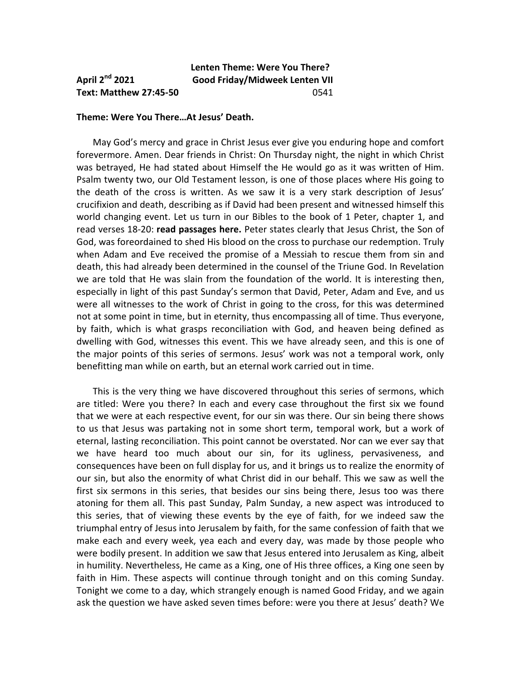## **Lenten Theme: Were You There? April 2nd 2021 Good Friday/Midweek Lenten VII Text: Matthew 27:45-50** 0541

## **Theme: Were You There…At Jesus' Death.**

 May God's mercy and grace in Christ Jesus ever give you enduring hope and comfort forevermore. Amen. Dear friends in Christ: On Thursday night, the night in which Christ was betrayed, He had stated about Himself the He would go as it was written of Him. Psalm twenty two, our Old Testament lesson, is one of those places where His going to the death of the cross is written. As we saw it is a very stark description of Jesus' crucifixion and death, describing as if David had been present and witnessed himself this world changing event. Let us turn in our Bibles to the book of 1 Peter, chapter 1, and read verses 18-20: **read passages here.** Peter states clearly that Jesus Christ, the Son of God, was foreordained to shed His blood on the cross to purchase our redemption. Truly when Adam and Eve received the promise of a Messiah to rescue them from sin and death, this had already been determined in the counsel of the Triune God. In Revelation we are told that He was slain from the foundation of the world. It is interesting then, especially in light of this past Sunday's sermon that David, Peter, Adam and Eve, and us were all witnesses to the work of Christ in going to the cross, for this was determined not at some point in time, but in eternity, thus encompassing all of time. Thus everyone, by faith, which is what grasps reconciliation with God, and heaven being defined as dwelling with God, witnesses this event. This we have already seen, and this is one of the major points of this series of sermons. Jesus' work was not a temporal work, only benefitting man while on earth, but an eternal work carried out in time.

 This is the very thing we have discovered throughout this series of sermons, which are titled: Were you there? In each and every case throughout the first six we found that we were at each respective event, for our sin was there. Our sin being there shows to us that Jesus was partaking not in some short term, temporal work, but a work of eternal, lasting reconciliation. This point cannot be overstated. Nor can we ever say that we have heard too much about our sin, for its ugliness, pervasiveness, and consequences have been on full display for us, and it brings us to realize the enormity of our sin, but also the enormity of what Christ did in our behalf. This we saw as well the first six sermons in this series, that besides our sins being there, Jesus too was there atoning for them all. This past Sunday, Palm Sunday, a new aspect was introduced to this series, that of viewing these events by the eye of faith, for we indeed saw the triumphal entry of Jesus into Jerusalem by faith, for the same confession of faith that we make each and every week, yea each and every day, was made by those people who were bodily present. In addition we saw that Jesus entered into Jerusalem as King, albeit in humility. Nevertheless, He came as a King, one of His three offices, a King one seen by faith in Him. These aspects will continue through tonight and on this coming Sunday. Tonight we come to a day, which strangely enough is named Good Friday, and we again ask the question we have asked seven times before: were you there at Jesus' death? We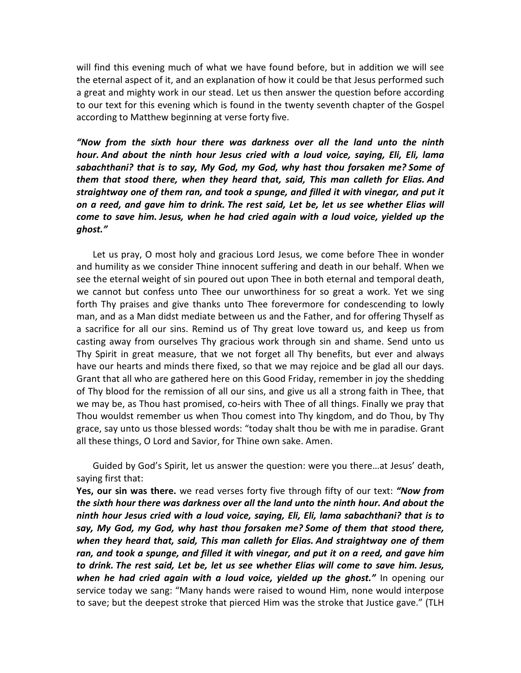will find this evening much of what we have found before, but in addition we will see the eternal aspect of it, and an explanation of how it could be that Jesus performed such a great and mighty work in our stead. Let us then answer the question before according to our text for this evening which is found in the twenty seventh chapter of the Gospel according to Matthew beginning at verse forty five.

*"Now from the sixth hour there was darkness over all the land unto the ninth hour. And about the ninth hour Jesus cried with a loud voice, saying, Eli, Eli, lama sabachthani? that is to say, My God, my God, why hast thou forsaken me? Some of them that stood there, when they heard that, said, This man calleth for Elias. And straightway one of them ran, and took a spunge, and filled it with vinegar, and put it on a reed, and gave him to drink. The rest said, Let be, let us see whether Elias will come to save him. Jesus, when he had cried again with a loud voice, yielded up the ghost."* 

 Let us pray, O most holy and gracious Lord Jesus, we come before Thee in wonder and humility as we consider Thine innocent suffering and death in our behalf. When we see the eternal weight of sin poured out upon Thee in both eternal and temporal death, we cannot but confess unto Thee our unworthiness for so great a work. Yet we sing forth Thy praises and give thanks unto Thee forevermore for condescending to lowly man, and as a Man didst mediate between us and the Father, and for offering Thyself as a sacrifice for all our sins. Remind us of Thy great love toward us, and keep us from casting away from ourselves Thy gracious work through sin and shame. Send unto us Thy Spirit in great measure, that we not forget all Thy benefits, but ever and always have our hearts and minds there fixed, so that we may rejoice and be glad all our days. Grant that all who are gathered here on this Good Friday, remember in joy the shedding of Thy blood for the remission of all our sins, and give us all a strong faith in Thee, that we may be, as Thou hast promised, co-heirs with Thee of all things. Finally we pray that Thou wouldst remember us when Thou comest into Thy kingdom, and do Thou, by Thy grace, say unto us those blessed words: "today shalt thou be with me in paradise. Grant all these things, O Lord and Savior, for Thine own sake. Amen.

 Guided by God's Spirit, let us answer the question: were you there…at Jesus' death, saying first that:

**Yes, our sin was there.** we read verses forty five through fifty of our text: *"Now from the sixth hour there was darkness over all the land unto the ninth hour. And about the ninth hour Jesus cried with a loud voice, saying, Eli, Eli, lama sabachthani? that is to say, My God, my God, why hast thou forsaken me? Some of them that stood there, when they heard that, said, This man calleth for Elias. And straightway one of them ran, and took a spunge, and filled it with vinegar, and put it on a reed, and gave him to drink. The rest said, Let be, let us see whether Elias will come to save him. Jesus, when he had cried again with a loud voice, yielded up the ghost."* In opening our service today we sang: "Many hands were raised to wound Him, none would interpose to save; but the deepest stroke that pierced Him was the stroke that Justice gave." (TLH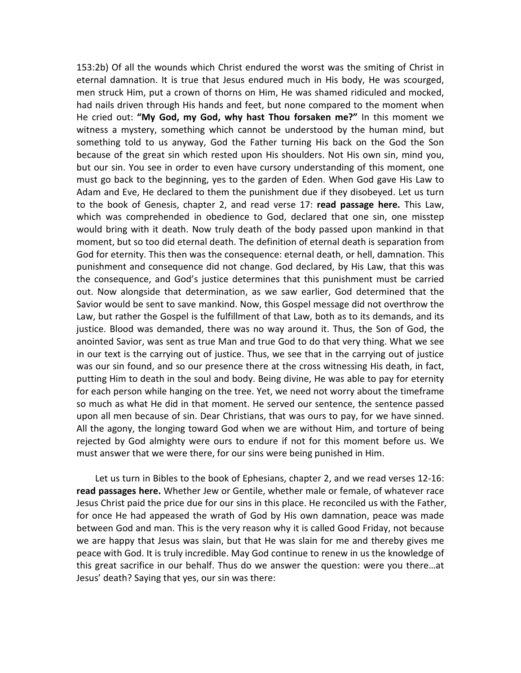153:2b) Of all the wounds which Christ endured the worst was the smiting of Christ in eternal damnation. It is true that Jesus endured much in His body, He was scourged, men struck Him, put a crown of thorns on Him, He was shamed ridiculed and mocked, had nails driven through His hands and feet, but none compared to the moment when He cried out: **"My God, my God, why hast Thou forsaken me?"** In this moment we witness a mystery, something which cannot be understood by the human mind, but something told to us anyway, God the Father turning His back on the God the Son because of the great sin which rested upon His shoulders. Not His own sin, mind you, but our sin. You see in order to even have cursory understanding of this moment, one must go back to the beginning, yes to the garden of Eden. When God gave His Law to Adam and Eve, He declared to them the punishment due if they disobeyed. Let us turn to the book of Genesis, chapter 2, and read verse 17: **read passage here.** This Law, which was comprehended in obedience to God, declared that one sin, one misstep would bring with it death. Now truly death of the body passed upon mankind in that moment, but so too did eternal death. The definition of eternal death is separation from God for eternity. This then was the consequence: eternal death, or hell, damnation. This punishment and consequence did not change. God declared, by His Law, that this was the consequence, and God's justice determines that this punishment must be carried out. Now alongside that determination, as we saw earlier, God determined that the Savior would be sent to save mankind. Now, this Gospel message did not overthrow the Law, but rather the Gospel is the fulfillment of that Law, both as to its demands, and its justice. Blood was demanded, there was no way around it. Thus, the Son of God, the anointed Savior, was sent as true Man and true God to do that very thing. What we see in our text is the carrying out of justice. Thus, we see that in the carrying out of justice was our sin found, and so our presence there at the cross witnessing His death, in fact, putting Him to death in the soul and body. Being divine, He was able to pay for eternity for each person while hanging on the tree. Yet, we need not worry about the timeframe so much as what He did in that moment. He served our sentence, the sentence passed upon all men because of sin. Dear Christians, that was ours to pay, for we have sinned. All the agony, the longing toward God when we are without Him, and torture of being rejected by God almighty were ours to endure if not for this moment before us. We must answer that we were there, for our sins were being punished in Him.

Let us turn in Bibles to the book of Ephesians, chapter 2, and we read verses 12-16: **read passages here.** Whether Jew or Gentile, whether male or female, of whatever race Jesus Christ paid the price due for our sins in this place. He reconciled us with the Father, for once He had appeased the wrath of God by His own damnation, peace was made between God and man. This is the very reason why it is called Good Friday, not because we are happy that Jesus was slain, but that He was slain for me and thereby gives me peace with God. It is truly incredible. May God continue to renew in us the knowledge of this great sacrifice in our behalf. Thus do we answer the question: were you there…at Jesus' death? Saying that yes, our sin was there: